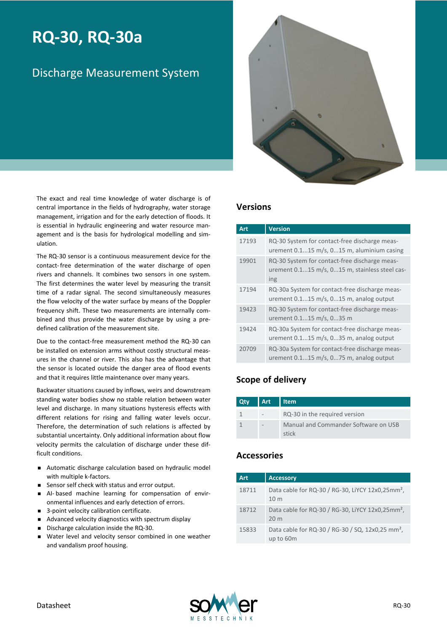# **RQ-30, RQ-30a**

## Discharge Measurement System



The exact and real time knowledge of water discharge is of central importance in the fields of hydrography, water storage management, irrigation and for the early detection of floods. It is essential in hydraulic engineering and water resource management and is the basis for hydrological modelling and simulation.

The RQ-30 sensor is a continuous measurement device for the contact- free determination of the water discharge of open rivers and channels. It combines two sensors in one system. The first determines the water level by measuring the transit time of a radar signal. The second simultaneously measures the flow velocity of the water surface by means of the Doppler frequency shift. These two measurements are internally combined and thus provide the water discharge by using a predefined calibration of the measurement site.

Due to the contact-free measurement method the RQ-30 can be installed on extension arms without costly structural measures in the channel or river. This also has the advantage that the sensor is located outside the danger area of flood events and that it requires little maintenance over many years.

Backwater situations caused by inflows, weirs and downstream standing water bodies show no stable relation between water level and discharge. In many situations hysteresis effects with different relations for rising and falling water levels occur. Therefore, the determination of such relations is affected by substantial uncertainty. Only additional information about flow velocity permits the calculation of discharge under these difficult conditions.

- <sup>n</sup> Automatic discharge calculation based on hydraulic model with multiple k-factors.
- Sensor self check with status and error output.
- <sup>n</sup> AI- based machine learning for compensation of environmental influences and early detection of errors.
- 3-point velocity calibration certificate.
- Advanced velocity diagnostics with spectrum display
- Discharge calculation inside the RQ-30.
- <sup>n</sup> Water level and velocity sensor combined in one weather and vandalism proof housing.

#### **Versions**

| Art   | <b>Version</b>                                                                                         |
|-------|--------------------------------------------------------------------------------------------------------|
| 17193 | RQ-30 System for contact-free discharge meas-<br>urement $0.115$ m/s, $015$ m, aluminium casing        |
| 19901 | RQ-30 System for contact-free discharge meas-<br>urement 0.115 m/s, 015 m, stainless steel cas-<br>ing |
| 17194 | RQ-30a System for contact-free discharge meas-<br>urement 0.115 m/s, 015 m, analog output              |
| 19423 | RQ-30 System for contact-free discharge meas-<br>urement 0.115 m/s, 035 m                              |
| 19424 | RQ-30a System for contact-free discharge meas-<br>urement $0.115$ m/s, $035$ m, analog output          |
| 20709 | RQ-30a System for contact-free discharge meas-<br>urement $0.115$ m/s, $075$ m, analog output          |

#### **Scope of delivery**

| Qty | <b>Art</b> | Item                                          |
|-----|------------|-----------------------------------------------|
|     |            | RQ-30 in the required version                 |
|     |            | Manual and Commander Software on USB<br>stick |

#### **Accessories**

| <b>Art</b> | <b>Accessory</b>                                                                |
|------------|---------------------------------------------------------------------------------|
| 18711      | Data cable for RQ-30 / RG-30, LIYCY 12x0,25mm <sup>2</sup> ,<br>10 <sub>m</sub> |
| 18712      | Data cable for RQ-30 / RG-30, LIYCY 12x0,25mm <sup>2</sup> ,<br>20 <sub>m</sub> |
| 15833      | Data cable for RQ-30 / RG-30 / SQ, 12x0,25 mm <sup>2</sup> ,<br>up to 60m       |